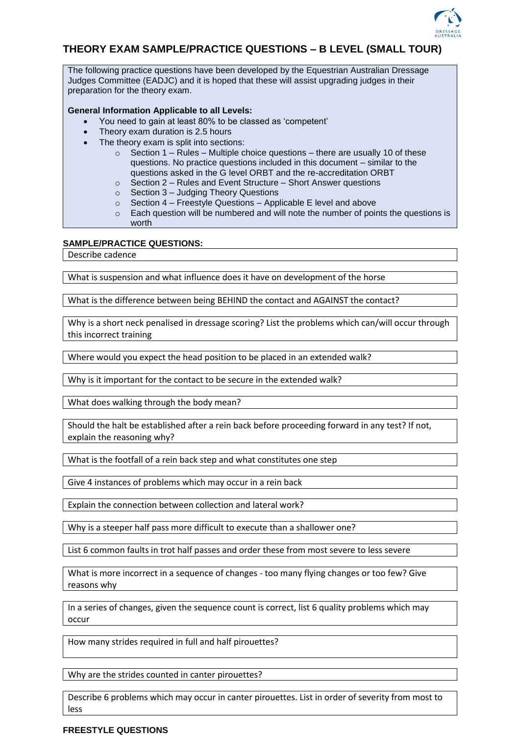

## **THEORY EXAM SAMPLE/PRACTICE QUESTIONS – B LEVEL (SMALL TOUR)**

The following practice questions have been developed by the Equestrian Australian Dressage Judges Committee (EADJC) and it is hoped that these will assist upgrading judges in their preparation for the theory exam.

## **General Information Applicable to all Levels:**

- You need to gain at least 80% to be classed as 'competent'
- Theory exam duration is 2.5 hours
- The theory exam is split into sections:
	- $\circ$  Section 1 Rules Multiple choice questions there are usually 10 of these questions. No practice questions included in this document – similar to the questions asked in the G level ORBT and the re-accreditation ORBT
	- o Section 2 Rules and Event Structure Short Answer questions
	- o Section 3 Judging Theory Questions
	- $\circ$  Section 4 Freestyle Questions Applicable E level and above
	- $\circ$  Each question will be numbered and will note the number of points the questions is worth

## **SAMPLE/PRACTICE QUESTIONS:**

Describe cadence

What is suspension and what influence does it have on development of the horse

What is the difference between being BEHIND the contact and AGAINST the contact?

Why is a short neck penalised in dressage scoring? List the problems which can/will occur through this incorrect training

Where would you expect the head position to be placed in an extended walk?

Why is it important for the contact to be secure in the extended walk?

What does walking through the body mean?

Should the halt be established after a rein back before proceeding forward in any test? If not, explain the reasoning why?

What is the footfall of a rein back step and what constitutes one step

Give 4 instances of problems which may occur in a rein back

Explain the connection between collection and lateral work?

Why is a steeper half pass more difficult to execute than a shallower one?

List 6 common faults in trot half passes and order these from most severe to less severe

What is more incorrect in a sequence of changes - too many flying changes or too few? Give reasons why

In a series of changes, given the sequence count is correct, list 6 quality problems which may occur

How many strides required in full and half pirouettes?

Why are the strides counted in canter pirouettes?

Describe 6 problems which may occur in canter pirouettes. List in order of severity from most to less

## **FREESTYLE QUESTIONS**